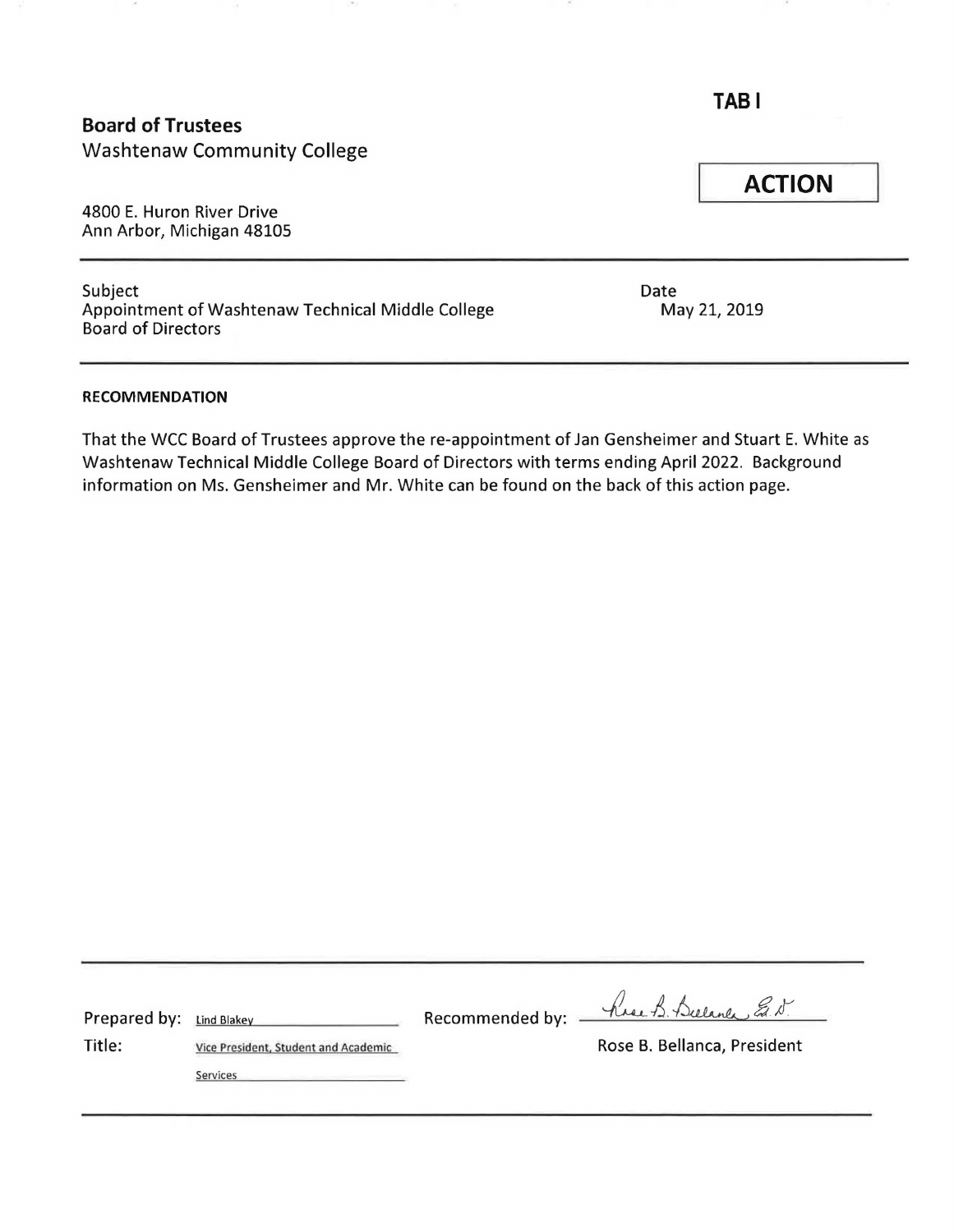# **Board of Trustees**

Washtenaw Community College

4800 E. Huron River Drive Ann Arbor, Michigan 48105

Subject Appointment of Washtenaw Technical Middle College Board of Directors

#### Date May 21, 2019

#### **RECOMMENDATION**

That the WCC Board of Trustees approve the re-appointment of Jan Gensheimer and Stuart E. White as Washtenaw Technical Middle College Board of Directors with terms ending April 2022. Background information on Ms. Gensheimer and Mr. White can be found on the back of this action page.

| Prepared by: |
|--------------|
|--------------|

Lind Blakey **Prep and Blakey Recommended by:** 

have B. Bulance E.N.

**Services** 

Title: Vice President, Student and Academic Vice Academic Rose B. Bellanca, President

**TABI** 

**ACTION**